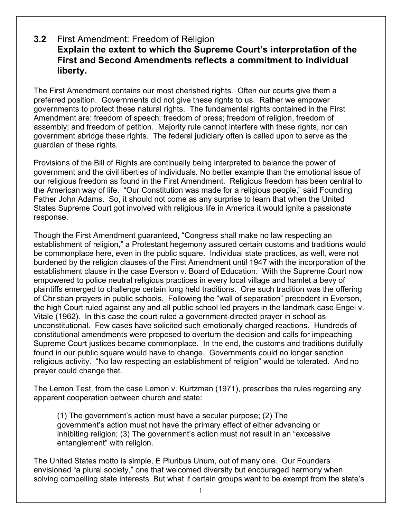## **3.2** First Amendment: Freedom of Religion **Explain the extent to which the Supreme Court's interpretation of the First and Second Amendments reflects a commitment to individual liberty.**

The First Amendment contains our most cherished rights. Often our courts give them a preferred position. Governments did not give these rights to us. Rather we empower governments to protect these natural rights. The fundamental rights contained in the First Amendment are: freedom of speech; freedom of press; freedom of religion, freedom of assembly; and freedom of petition. Majority rule cannot interfere with these rights, nor can government abridge these rights. The federal judiciary often is called upon to serve as the guardian of these rights.

Provisions of the Bill of Rights are continually being interpreted to balance the power of government and the civil liberties of individuals. No better example than the emotional issue of our religious freedom as found in the First Amendment. Religious freedom has been central to the American way of life. "Our Constitution was made for a religious people," said Founding Father John Adams. So, it should not come as any surprise to learn that when the United States Supreme Court got involved with religious life in America it would ignite a passionate response.

Though the First Amendment guaranteed, "Congress shall make no law respecting an establishment of religion," a Protestant hegemony assured certain customs and traditions would be commonplace here, even in the public square. Individual state practices, as well, were not burdened by the religion clauses of the First Amendment until 1947 with the incorporation of the establishment clause in the case Everson v. Board of Education. With the Supreme Court now empowered to police neutral religious practices in every local village and hamlet a bevy of plaintiffs emerged to challenge certain long held traditions. One such tradition was the offering of Christian prayers in public schools. Following the "wall of separation" precedent in Everson, the high Court ruled against any and all public school led prayers in the landmark case Engel v. Vitale (1962). In this case the court ruled a government-directed prayer in school as unconstitutional. Few cases have solicited such emotionally charged reactions. Hundreds of constitutional amendments were proposed to overturn the decision and calls for impeaching Supreme Court justices became commonplace. In the end, the customs and traditions dutifully found in our public square would have to change. Governments could no longer sanction religious activity. "No law respecting an establishment of religion" would be tolerated. And no prayer could change that.

The Lemon Test, from the case Lemon v. Kurtzman (1971), prescribes the rules regarding any apparent cooperation between church and state:

(1) The government's action must have a secular purpose; (2) The government's action must not have the primary effect of either advancing or inhibiting religion; (3) The government's action must not result in an "excessive entanglement" with religion.

The United States motto is simple, E Pluribus Unum, out of many one. Our Founders envisioned "a plural society," one that welcomed diversity but encouraged harmony when solving compelling state interests. But what if certain groups want to be exempt from the state's